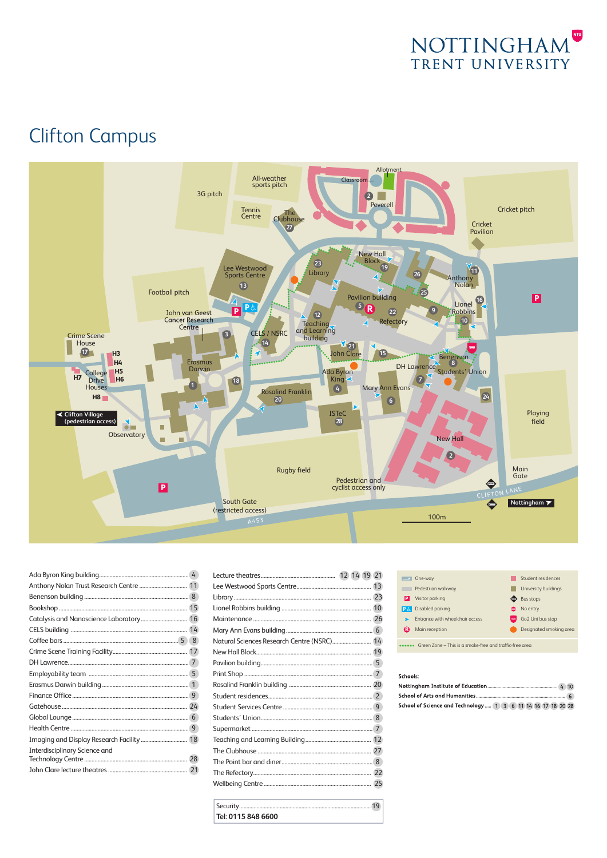

# C Clifton Campus



| Imaging and Display Research Facility 18 |  |
|------------------------------------------|--|
| Interdisciplinary Science and            |  |
|                                          |  |
|                                          |  |
|                                          |  |

| Natural Sciences Research Centre (NSRC) 14 |
|--------------------------------------------|
|                                            |
|                                            |
|                                            |
|                                            |
|                                            |
|                                            |
|                                            |
|                                            |
|                                            |
|                                            |
|                                            |
|                                            |
|                                            |
|                                            |

**Tel: 0115 848 6600**

| One-way<br>$\rightarrow$        | Student residences                           |
|---------------------------------|----------------------------------------------|
| Pedestrian walkway              | University buildings                         |
| Visitor parking<br>Þ            | <b>Bus stops</b><br>o                        |
| Disabled parking<br>IP&         | No entry<br>0                                |
| Entrance with wheelchair access | Go2 Uni bus stop<br>$\overline{\phantom{a}}$ |
| Main reception<br>R.            | Designated smoking area                      |
|                                 |                                              |

#### Green Zone – This is a smoke-free and traffic-free area

#### Schools:

| ------                                                       |  |
|--------------------------------------------------------------|--|
|                                                              |  |
|                                                              |  |
| School of Science and Technology  1 3 6 11 14 16 17 18 20 28 |  |